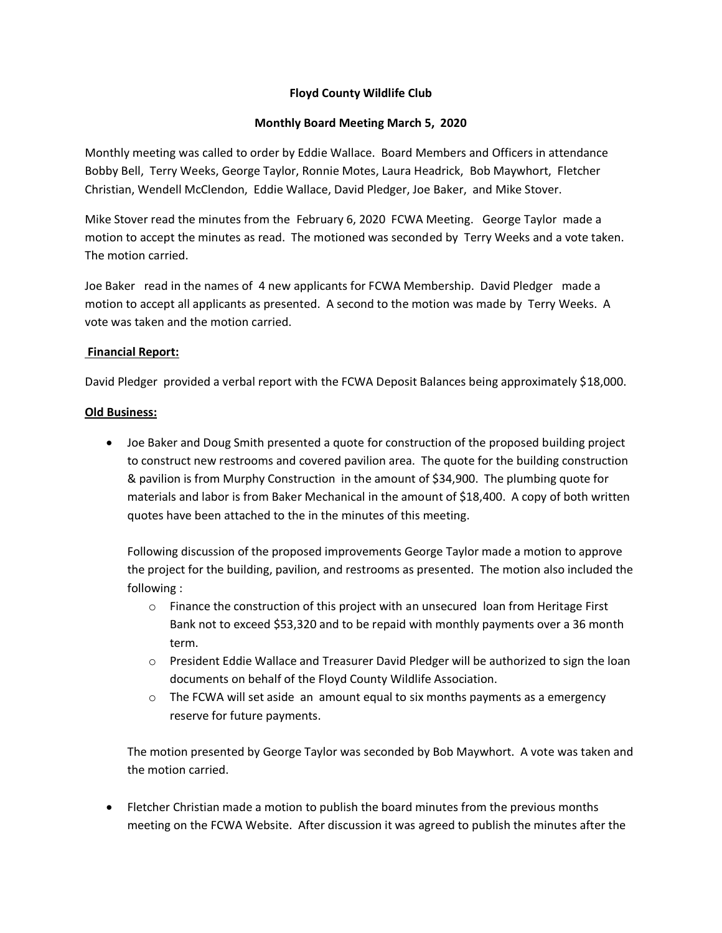# **Floyd County Wildlife Club**

### **Monthly Board Meeting March 5, 2020**

Monthly meeting was called to order by Eddie Wallace. Board Members and Officers in attendance Bobby Bell, Terry Weeks, George Taylor, Ronnie Motes, Laura Headrick, Bob Maywhort, Fletcher Christian, Wendell McClendon, Eddie Wallace, David Pledger, Joe Baker, and Mike Stover.

Mike Stover read the minutes from the February 6, 2020 FCWA Meeting. George Taylor made a motion to accept the minutes as read. The motioned was seconded by Terry Weeks and a vote taken. The motion carried.

Joe Baker read in the names of 4 new applicants for FCWA Membership. David Pledger made a motion to accept all applicants as presented. A second to the motion was made by Terry Weeks. A vote was taken and the motion carried.

#### **Financial Report:**

David Pledger provided a verbal report with the FCWA Deposit Balances being approximately \$18,000.

# **Old Business:**

 Joe Baker and Doug Smith presented a quote for construction of the proposed building project to construct new restrooms and covered pavilion area. The quote for the building construction & pavilion is from Murphy Construction in the amount of \$34,900. The plumbing quote for materials and labor is from Baker Mechanical in the amount of \$18,400. A copy of both written quotes have been attached to the in the minutes of this meeting.

Following discussion of the proposed improvements George Taylor made a motion to approve the project for the building, pavilion, and restrooms as presented. The motion also included the following :

- o Finance the construction of this project with an unsecured loan from Heritage First Bank not to exceed \$53,320 and to be repaid with monthly payments over a 36 month term.
- o President Eddie Wallace and Treasurer David Pledger will be authorized to sign the loan documents on behalf of the Floyd County Wildlife Association.
- $\circ$  The FCWA will set aside an amount equal to six months payments as a emergency reserve for future payments.

The motion presented by George Taylor was seconded by Bob Maywhort. A vote was taken and the motion carried.

 Fletcher Christian made a motion to publish the board minutes from the previous months meeting on the FCWA Website. After discussion it was agreed to publish the minutes after the